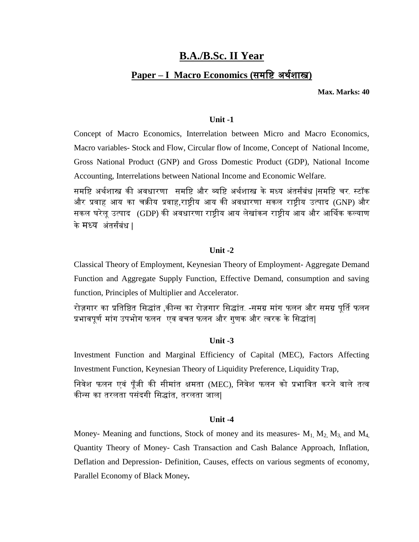# **B.A./B.Sc. II Year**

# **Paper – I Macro Economics (**समष्टि अथथशास्त्र**)**

**Max. Marks: 40**

### **Unit -1**

Concept of Macro Economics, Interrelation between Micro and Macro Economics, Macro variables- Stock and Flow, Circular flow of Income, Concept of National Income, Gross National Product (GNP) and Gross Domestic Product (GDP), National Income Accounting, Interrelations between National Income and Economic Welfare.

समष्टि अथथशास्त्र की अवधारणा समष्टि और व्यष्टि अथथशास्त्र के मध्य अंतसंबंध |समष्टि चर- स्टॉक और प्रवाह आय का चक्रीय प्रवाह,राष्ट्रीय आय की अवधारणा सकल राष्ट्रीय उत्पाद (GNP) और सकल घरेलूउत्पाद (GDP) की अवधारणा राष्ट्रीय आय लेखांकन राष्ट्रीय आय और आर्थथक कल्याण केमध्य अंतसंबंध |

### **Unit -2**

Classical Theory of Employment, Keynesian Theory of Employment- Aggregate Demand Function and Aggregate Supply Function, Effective Demand, consumption and saving function, Principles of Multiplier and Accelerator.

रोज़गार का प्रतिष्ठित सिद्धांत ,कीन्स का रोज़गार सिद्धांत. -समग्र मांग फलन और समग्र पूर्ति फलन प्रभावपूर्ण मांग उपभोग फलन एव बचत फलन और गुणक और त्वरक के सिद्धांत|

# **Unit -3**

Investment Function and Marginal Efficiency of Capital (MEC), Factors Affecting Investment Function, Keynesian Theory of Liquidity Preference, Liquidity Trap,

निवेश फलन एवं पँजी की सीमांत क्षमता (MEC), निवेश फलन को प्रभावित करने वाले तत्व कीन्स का तरलता पसंदगी ष्टसद्ांत, तरलता जाल|

### **Unit -4**

Money- Meaning and functions, Stock of money and its measures-  $M_1$ ,  $M_2$ ,  $M_3$ , and  $M_4$ , Quantity Theory of Money- Cash Transaction and Cash Balance Approach, Inflation, Deflation and Depression- Definition, Causes, effects on various segments of economy, Parallel Economy of Black Money*.*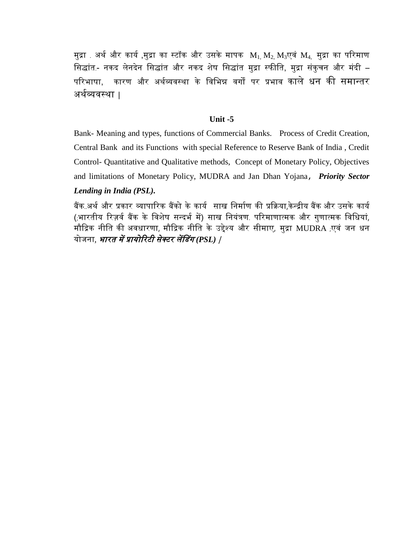मुद्रा . अर्थ और कार्य ,मुद्रा का स्टॉक और उसके मापक  $\ M_{1}$ ,  $M_{2}$ ,  $M_{3}$ एवं  $M_{4}$ , मुद्रा का परिमाण सिद्धांत - नकद लेनदेन सिद्धांत और नकद शेष सिद्धांत मुद्रा स्फीति, मुद्रा संकुचन और मंदी – परिभाषा. कारण और अर्थव्यवस्था के विभिन्न वर्गों पर प्रभाव काले धन की समान्तर अथथव्यवस्था |

# **Unit -5**

Bank- Meaning and types, functions of Commercial Banks. Process of Credit Creation, Central Bank and its Functions with special Reference to Reserve Bank of India , Credit Control- Quantitative and Qualitative methods, Concept of Monetary Policy, Objectives and limitations of Monetary Policy, MUDRA and Jan Dhan Yojana, *Priority Sector Lending in India (PSL).* 

बैंक अर्थ और प्रकार व्यापारिक बैंको के कार्य साख निर्माण की प्रक्रिया,केन्द्रीय बैंक और उसके कार्य (भारतीय रिज़र्व बैंक के विशेष सन्दर्भ में) साख नियंत्रण परिमाणात्मक और गुणात्मक विधियां, मौक्रद्रक नीष्टत की अवधारणा, मौक्रद्रक नीष्टत के उद्देश्य और सीमाए, मुद्रा MUDRA (एवं जन धन योजना, भारत में प्रायोररटी सेक्टर लेंडडग *(PSL)* |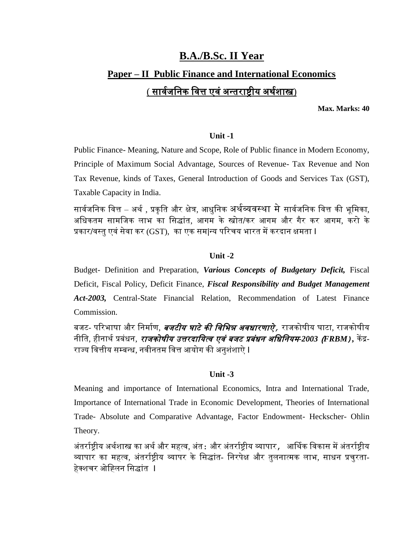# **B.A./B.Sc. II Year Paper – II Public Finance and International Economics** ( सार्वजनिक वित्त एवं अन्तराष्ट्रीय अर्थशास्त्र)

**Max. Marks: 40**

# **Unit -1**

Public Finance- Meaning, Nature and Scope, Role of Public finance in Modern Economy, Principle of Maximum Social Advantage, Sources of Revenue- Tax Revenue and Non Tax Revenue, kinds of Taxes, General Introduction of Goods and Services Tax (GST), Taxable Capacity in India.

सार्वजनिक वित्त – अर्थ , प्रकृति और क्षेत्र, आधुनिक अर्थव्यवस्था मे सार्वजनिक वित्त की भूमिका, अष्टधकतम सामष्टजक लाभ का ष्टसद्ांत, आगम के स्त्रोत/कर आगम और गैर कर आगम, करो के प्रकार/वस्तुएवंसेवा कर (GST), का एक सम|न्य पररचय भारत मेंकरदान क्षमता I

# **Unit -2**

Budget- Definition and Preparation, *Various Concepts of Budgetary Deficit,* Fiscal Deficit, Fiscal Policy, Deficit Finance, *Fiscal Responsibility and Budget Management Act-2003,* Central-State Financial Relation, Recommendation of Latest Finance Commission.

बजट- परिभाषा और निर्माण, *बजटीय घाटे की विभिन्न अवधारणाऐे,* राजकोषीय घाटा, राजकोषीय नीति, हीनार्थ प्रबंधन, *रा<mark>जकोषीय उत्तरदायित्व एवं बजट प्रबंधन अधिनियम-2003 <i>(FRBM)* ,</mark> केंद्र-राज्य वित्तीय सम्बन्ध, नवीनतम वित्त आयोग की अनुशंशाऐ **I** 

# **Unit -3**

Meaning and importance of International Economics, Intra and International Trade, Importance of International Trade in Economic Development, Theories of International Trade- Absolute and Comparative Advantage, Factor Endowment- Heckscher- Ohlin Theory.

अंतर्राष्टीय अर्थशास्त्र का अर्थ और महत्व, अंत: और अंतर्राष्टीय व्यापार, आर्थिक विकास में अंतर्राष्टीय व्यापार का महत्व, अंतर्राष्ट्रीय व्यापर के सिद्धांत- निरपेक्ष और तुलनात्मक लाभ, साधन प्रचुरता-हेक्शचर ओह्तिन सिद्धांत I